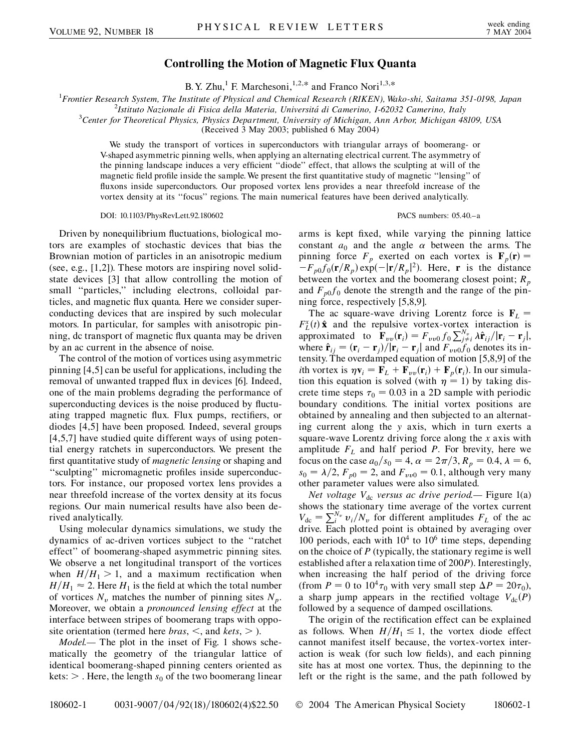## **Controlling the Motion of Magnetic Flux Quanta**

B.Y. Zhu,<sup>1</sup> F. Marchesoni,<sup>1,2,\*</sup> and Franco Nori<sup>1,3,\*</sup>

1 *Frontier Research System, The Institute of Physical and Chemical Research (RIKEN), Wako-shi, Saitama 351-0198, Japan* <sup>2</sup>

*Istituto Nazionale di Fisica della Materia, Universita´ di Camerino, I-62032 Camerino, Italy* <sup>3</sup>

*Center for Theoretical Physics, Physics Department, University of Michigan, Ann Arbor, Michigan 48109, USA*

(Received 3 May 2003; published 6 May 2004)

We study the transport of vortices in superconductors with triangular arrays of boomerang- or V-shaped asymmetric pinning wells, when applying an alternating electrical current. The asymmetry of the pinning landscape induces a very efficient ''diode'' effect, that allows the sculpting at will of the magnetic field profile inside the sample. We present the first quantitative study of magnetic ''lensing'' of fluxons inside superconductors. Our proposed vortex lens provides a near threefold increase of the vortex density at its ''focus'' regions. The main numerical features have been derived analytically.

## DOI: 10.1103/PhysRevLett.92.180602 PACS numbers: 05.40.–a

Driven by nonequilibrium fluctuations, biological motors are examples of stochastic devices that bias the Brownian motion of particles in an anisotropic medium (see, e.g., [1,2]). These motors are inspiring novel solidstate devices [3] that allow controlling the motion of small "particles," including electrons, colloidal particles, and magnetic flux quanta. Here we consider superconducting devices that are inspired by such molecular motors. In particular, for samples with anisotropic pinning, dc transport of magnetic flux quanta may be driven by an ac current in the absence of noise.

The control of the motion of vortices using asymmetric pinning [4,5] can be useful for applications, including the removal of unwanted trapped flux in devices [6]. Indeed, one of the main problems degrading the performance of superconducting devices is the noise produced by fluctuating trapped magnetic flux. Flux pumps, rectifiers, or diodes [4,5] have been proposed. Indeed, several groups [4,5,7] have studied quite different ways of using potential energy ratchets in superconductors. We present the first quantitative study of *magnetic lensing* or shaping and ''sculpting'' micromagnetic profiles inside superconductors. For instance, our proposed vortex lens provides a near threefold increase of the vortex density at its focus regions. Our main numerical results have also been derived analytically.

Using molecular dynamics simulations, we study the dynamics of ac-driven vortices subject to the ''ratchet effect'' of boomerang-shaped asymmetric pinning sites. We observe a net longitudinal transport of the vortices when  $H/H_1 > 1$ , and a maximum rectification when  $H/H_1 \approx 2$ . Here  $H_1$  is the field at which the total number of vortices  $N_v$  matches the number of pinning sites  $N_p$ . Moreover, we obtain a *pronounced lensing effect* at the interface between stripes of boomerang traps with opposite orientation (termed here *bras*, *<*, and *kets*, *>* ).

*Model.—* The plot in the inset of Fig. 1 shows schematically the geometry of the triangular lattice of identical boomerang-shaped pinning centers oriented as kets:  $>$  . Here, the length  $s_0$  of the two boomerang linear

arms is kept fixed, while varying the pinning lattice constant  $a_0$  and the angle  $\alpha$  between the arms. The pinning force  $F_p$  exerted on each vortex is  $\mathbf{F}_p(\mathbf{r}) =$  $-F_{p0}f_0(\mathbf{r}/R_p) \exp(-|\mathbf{r}/R_p|^2)$ . Here, **r** is the distance between the vortex and the boomerang closest point;  $R_p$ and  $F_{p0}f_0$  denote the strength and the range of the pinning force, respectively [5,8,9].

The ac square-wave driving Lorentz force is  $\mathbf{F}_L$  =  $F_L^x(t)$  **x** and the repulsive vortex-vortex interaction is  $\mathbf{F}_{\nu\nu}(\mathbf{r}_i) = F_{\nu\nu0} f_0 \sum_{j \neq i}^{N_\nu} \lambda \hat{\mathbf{r}}_{ij}/|\mathbf{r}_i - \mathbf{r}_j|$ , where  $\hat{\mathbf{r}}_{ij} = (\mathbf{r}_i - \mathbf{r}_j)/|\mathbf{r}_i - \mathbf{r}_j|$  and  $F_{vv0}f_0$  denotes its intensity. The overdamped equation of motion [5,8,9] of the *i*th vortex is  $\eta \mathbf{v}_i = \mathbf{F}_L + \mathbf{F}_{vv}(\mathbf{r}_i) + \mathbf{F}_p(\mathbf{r}_i)$ . In our simulation this equation is solved (with  $\eta = 1$ ) by taking discrete time steps  $\tau_0 = 0.03$  in a 2D sample with periodic boundary conditions. The initial vortex positions are obtained by annealing and then subjected to an alternating current along the *y* axis, which in turn exerts a square-wave Lorentz driving force along the *x* axis with amplitude  $F<sub>L</sub>$  and half period *P*. For brevity, here we focus on the case  $a_0/s_0 = 4$ ,  $\alpha = 2\pi/3$ ,  $R_p = 0.4$ ,  $\lambda = 6$ ,  $s_0 = \lambda/2$ ,  $F_{p0} = 2$ , and  $F_{\nu\nu 0} = 0.1$ , although very many other parameter values were also simulated.

*Net voltage*  $V_{dc}$  *versus ac drive period*— Figure 1(a) shows the stationary time average of the vortex current  $V_{dc} = \sum_{i}^{N_y} v_i / N_y$  for different amplitudes  $F_L$  of the ac drive. Each plotted point is obtained by averaging over 100 periods, each with  $10^4$  to  $10^6$  time steps, depending on the choice of *P* (typically, the stationary regime is well established after a relaxation time of 200*P*). Interestingly, when increasing the half period of the driving force (from  $P = 0$  to  $10^4 \tau_0$  with very small step  $\Delta P = 20 \tau_0$ ), a sharp jump appears in the rectified voltage  $V_{dc}(P)$ followed by a sequence of damped oscillations.

The origin of the rectification effect can be explained as follows. When  $H/H_1 \leq 1$ , the vortex diode effect cannot manifest itself because, the vortex-vortex interaction is weak (for such low fields), and each pinning site has at most one vortex. Thus, the depinning to the left or the right is the same, and the path followed by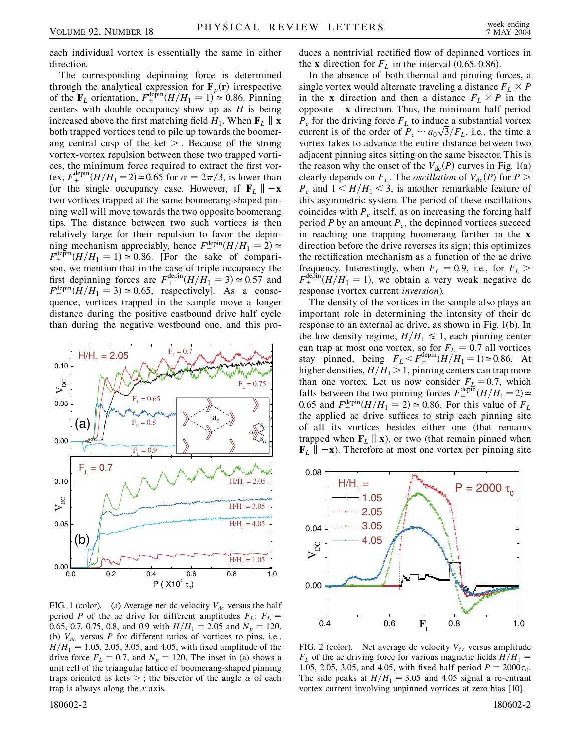each individual vortex is essentially the same in either direction.

The corresponding depinning force is determined through the analytical expression for  $\mathbf{F}_p(\mathbf{r})$  irrespective of the  $\mathbf{F}_L$  orientation,  $F_{\pm}^{\text{depin}}(H/H_1 = 1) \approx 0.86$ . Pinning centers with double occupancy show up as *H* is being increased above the first matching field  $H_1$ . When  $\mathbf{F}_L \parallel \mathbf{x}$ both trapped vortices tend to pile up towards the boomerang central cusp of the ket *>* . Because of the strong vortex-vortex repulsion between these two trapped vortices, the minimum force required to extract the first vortex,  $F_+^{\text{depin}}(H/H_1 = 2) \approx 0.65$  for  $\alpha = 2\pi/3$ , is lower than for the single occupancy case. However, if  $\mathbf{F}_L \parallel -\mathbf{x}$ two vortices trapped at the same boomerang-shaped pinning well will move towards the two opposite boomerang tips. The distance between two such vortices is then relatively large for their repulsion to favor the depinning mechanism appreciably, hence  $F^{\text{depin}}_{-}(H/H_1 = 2) \simeq$  $F_{\pm}^{\text{depin}}(H/H_1 = 1) \approx 0.86$ . [For the sake of comparison, we mention that in the case of triple occupancy the first depinning forces are  $F_+^{\text{depin}}(H/H_1 = 3) \approx 0.57$  and  $F^{\text{depin}}_-(H/H_1 = 3) \approx 0.65$ , respectively]. As a consequence, vortices trapped in the sample move a longer distance during the positive eastbound drive half cycle than during the negative westbound one, and this pro-



FIG. 1 (color). (a) Average net dc velocity  $V_{dc}$  versus the half period *P* of the ac drive for different amplitudes  $F_L$ :  $F_L$  = 0.65, 0.7, 0.75, 0.8, and 0.9 with  $H/H_1 = 2.05$  and  $N_p = 120$ . (b)  $V_{dc}$  versus *P* for different ratios of vortices to pins, i.e.,  $H/H_1 = 1.05, 2.05, 3.05,$  and 4.05, with fixed amplitude of the drive force  $F_L = 0.7$ , and  $N_p = 120$ . The inset in (a) shows a unit cell of the triangular lattice of boomerang-shaped pinning traps oriented as kets  $>$ ; the bisector of the angle  $\alpha$  of each trap is always along the *x* axis.

duces a nontrivial rectified flow of depinned vortices in the **x** direction for  $F<sub>L</sub>$  in the interval (0.65, 0.86).

In the absence of both thermal and pinning forces, a single vortex would alternate traveling a distance  $F_L \times P$ in the **x** direction and then a distance  $F_L \times P$  in the opposite  $-x$  direction. Thus, the minimum half period  $P_c$  for the driving force  $F_L$  to induce a substantial vortex  $P_c$  for the driving force  $P_L$  to induce a substantial vortex<br>current is of the order of  $P_c \sim a_0 \sqrt{3}/F_L$ , i.e., the time a --<br>ว vortex takes to advance the entire distance between two adjacent pinning sites sitting on the same bisector. This is the reason why the onset of the  $V_{dc}(P)$  curves in Fig. 1(a) clearly depends on  $F_L$ . The *oscillation* of  $V_{dc}(P)$  for  $P >$  $P_c$  and  $1 \leq H/H_1 \leq 3$ , is another remarkable feature of this asymmetric system. The period of these oscillations coincides with  $P_c$  itself, as on increasing the forcing half period  $P$  by an amount  $P_c$ , the depinned vortices succeed in reaching one trapping boomerang farther in the **x** direction before the drive reverses its sign; this optimizes the rectification mechanism as a function of the ac drive frequency. Interestingly, when  $F_L = 0.9$ , i.e., for  $F_L >$  $F_{\pm}^{\text{depin}}(H/H_1 = 1)$ , we obtain a very weak negative dc response (vortex current *inversion*).

The density of the vortices in the sample also plays an important role in determining the intensity of their dc response to an external ac drive, as shown in Fig. 1(b). In the low density regime,  $H/H_1 \le 1$ , each pinning center can trap at most one vortex, so for  $F_L = 0.7$  all vortices stay pinned, being  $F_L < F_{\pm}^{\text{depin}} (H/H_1 = 1) \approx 0.86$ . At higher densities,  $H/H_1 > 1$ , pinning centers can trap more than one vortex. Let us now consider  $F_L = 0.7$ , which falls between the two pinning forces  $F_{+}^{\text{dephm}}(H/H_1 = 2) \approx$ 0.65 and  $F_{-}^{\text{depin}}(H/H_1 = 2) \approx 0.86$ . For this value of  $F_L$ the applied ac drive suffices to strip each pinning site of all its vortices besides either one (that remains trapped when  $\mathbf{F}_L \parallel \mathbf{x}$ ), or two (that remain pinned when  $\mathbf{F}_L \parallel -\mathbf{x}$ ). Therefore at most one vortex per pinning site



FIG. 2 (color). Net average dc velocity  $V_{dc}$  versus amplitude  $F<sub>L</sub>$  of the ac driving force for various magnetic fields  $H/H_1 =$ 1.05, 2.05, 3.05, and 4.05, with fixed half period  $P = 2000\tau_0$ . The side peaks at  $H/H_1 = 3.05$  and 4.05 signal a re-entrant vortex current involving unpinned vortices at zero bias [10].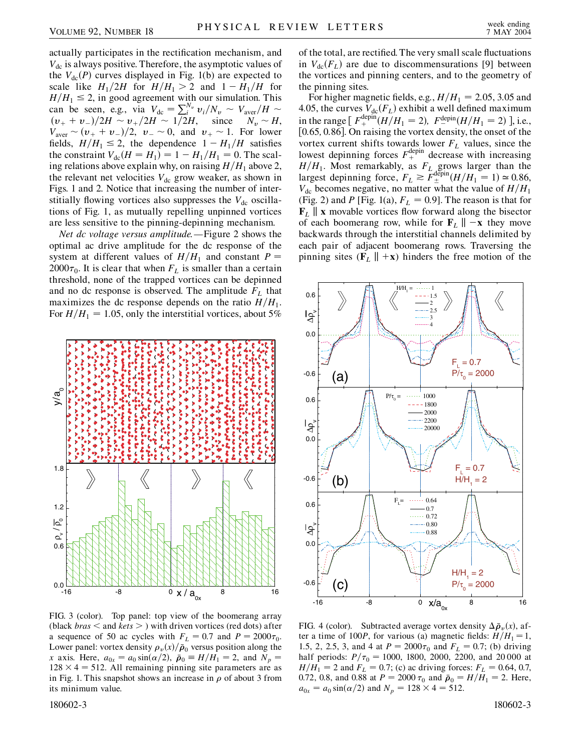actually participates in the rectification mechanism, and  $V_{\text{dc}}$  is always positive. Therefore, the asymptotic values of the  $V_{\text{dc}}(P)$  curves displayed in Fig. 1(b) are expected to scale like  $H_1/2H$  for  $H/H_1 > 2$  and  $1 - H_1/H$  for  $H/H_1 \leq 2$ , in good agreement with our simulation. This can be seen, e.g., via  $V_{\text{dc}} = \sum_{i}^{N_v} v_i / N_v \sim V_{\text{aver}} / H \sim$  $(v_{+} + v_{-})/2H \sim v_{+}/2H \sim 1/2H$ , since  $N_v \sim H$ ,  $V_{\text{aver}} \sim (v_{+} + v_{-})/2, v_{-} \sim 0, \text{ and } v_{+} \sim 1.$  For lower fields,  $H/H_1 \le 2$ , the dependence  $1 - H_1/H$  satisfies the constraint  $V_{dc}(H = H_1) = 1 - H_1/H_1 = 0$ . The scaling relations above explain why, on raising  $H/H_1$  above 2, the relevant net velocities  $V_{dc}$  grow weaker, as shown in Figs. 1 and 2. Notice that increasing the number of interstitially flowing vortices also suppresses the  $V_{dc}$  oscillations of Fig. 1, as mutually repelling unpinned vortices are less sensitive to the pinning-depinning mechanism.

*Net dc voltage versus amplitude.—*Figure 2 shows the optimal ac drive amplitude for the dc response of the system at different values of  $H/H_1$  and constant  $P =$  $2000\tau_0$ . It is clear that when  $F_L$  is smaller than a certain threshold, none of the trapped vortices can be depinned and no dc response is observed. The amplitude  $F<sub>L</sub>$  that maximizes the dc response depends on the ratio  $H/H_1$ . For  $H/H_1 = 1.05$ , only the interstitial vortices, about 5%



FIG. 3 (color). Top panel: top view of the boomerang array (black *bras <* and *kets >* ) with driven vortices (red dots) after a sequence of 50 ac cycles with  $F_L = 0.7$  and  $P = 2000\tau_0$ . Lower panel: vortex density  $\rho_v(x)/\bar{\rho}_0$  versus position along the *x* axis. Here,  $a_{0x} = a_0 \sin(\alpha/2)$ ,  $\bar{p}_0 = H/H_1 = 2$ , and  $N_p =$  $128 \times 4 = 512$ . All remaining pinning site parameters are as in Fig. 1. This snapshot shows an increase in  $\rho$  of about 3 from its minimum value.

of the total, are rectified. The very small scale fluctuations in  $V_{\text{dc}}(F_L)$  are due to discommensurations [9] between the vortices and pinning centers, and to the geometry of the pinning sites.

For higher magnetic fields, e.g.,  $H/H_1 = 2.05$ , 3.05 and 4.05, the curves  $V_{\text{dc}}(F_L)$  exhibit a well defined maximum in the range  $\int F_{+}^{\text{depin}}(H/H_1 = 2)$ ,  $F_{-}^{\text{depin}}(H/H_1 = 2)$  ], i.e., 0*:*65*;* 0*:*86. On raising the vortex density, the onset of the vortex current shifts towards lower  $F<sub>L</sub>$  values, since the lowest depinning forces  $F_{+}^{\text{depin}}$  decrease with increasing  $H/H_1$ . Most remarkably, as  $F_L$  grows larger than the largest depinning force,  $F_L \gtrsim F_{\pm}^{\text{depin}} (H/H_1 = 1) \simeq 0.86$ ,  $V_{\text{dc}}$  becomes negative, no matter what the value of  $H/H_1$ (Fig. 2) and *P* [Fig. 1(a),  $F_L = 0.9$ ]. The reason is that for  $\mathbf{F}_L$  || **x** movable vortices flow forward along the bisector of each boomerang row, while for  $\mathbf{F}_L \parallel -\mathbf{x}$  they move backwards through the interstitial channels delimited by each pair of adjacent boomerang rows. Traversing the pinning sites  $(F_L || + x)$  hinders the free motion of the



FIG. 4 (color). Subtracted average vortex density  $\Delta \bar{\rho}_v(x)$ , after a time of 100*P*, for various (a) magnetic fields:  $H/H_1 = 1$ , 1.5, 2, 2.5, 3, and 4 at  $P = 2000\tau_0$  and  $F_L = 0.7$ ; (b) driving half periods:  $P/\tau_0 = 1000$ , 1800, 2000, 2200, and 20 000 at  $H/H_1 = 2$  and  $F_L = 0.7$ ; (c) ac driving forces:  $F_L = 0.64, 0.7$ , 0.72, 0.8, and 0.88 at  $P = 2000 \tau_0$  and  $\bar{p}_0 = H/H_1 = 2$ . Here,  $a_{0x} = a_0 \sin(\alpha/2)$  and  $N_p = 128 \times 4 = 512$ .

180602-3 180602-3